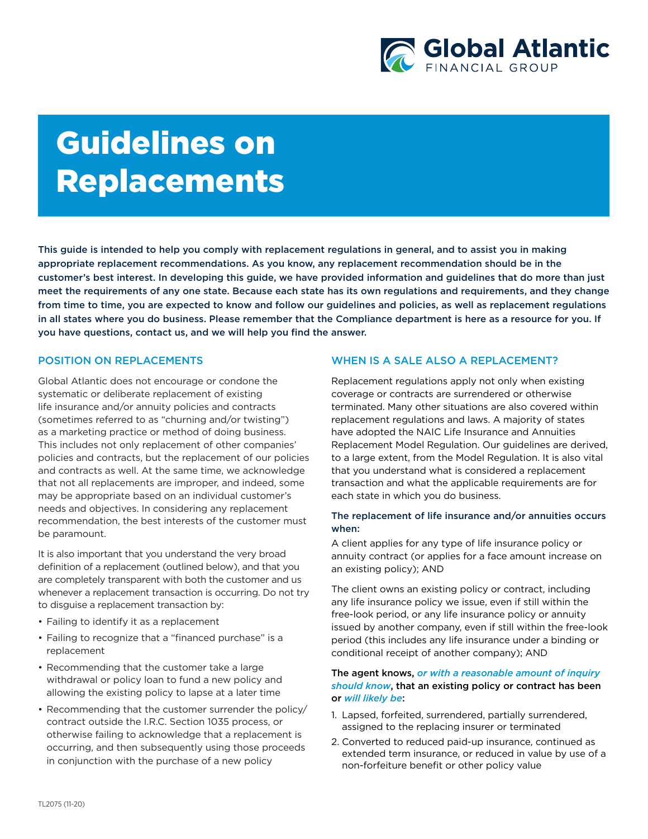

# Guidelines on Replacements

This guide is intended to help you comply with replacement regulations in general, and to assist you in making appropriate replacement recommendations. As you know, any replacement recommendation should be in the customer's best interest. In developing this guide, we have provided information and guidelines that do more than just meet the requirements of any one state. Because each state has its own regulations and requirements, and they change from time to time, you are expected to know and follow our guidelines and policies, as well as replacement regulations in all states where you do business. Please remember that the Compliance department is here as a resource for you. If you have questions, contact us, and we will help you find the answer.

## POSITION ON REPLACEMENTS

Global Atlantic does not encourage or condone the systematic or deliberate replacement of existing life insurance and/or annuity policies and contracts (sometimes referred to as "churning and/or twisting") as a marketing practice or method of doing business. This includes not only replacement of other companies' policies and contracts, but the replacement of our policies and contracts as well. At the same time, we acknowledge that not all replacements are improper, and indeed, some may be appropriate based on an individual customer's needs and objectives. In considering any replacement recommendation, the best interests of the customer must be paramount.

It is also important that you understand the very broad definition of a replacement (outlined below), and that you are completely transparent with both the customer and us whenever a replacement transaction is occurring. Do not try to disguise a replacement transaction by:

- Failing to identify it as a replacement
- Failing to recognize that a "financed purchase" is a replacement
- Recommending that the customer take a large withdrawal or policy loan to fund a new policy and allowing the existing policy to lapse at a later time
- Recommending that the customer surrender the policy/ contract outside the I.R.C. Section 1035 process, or otherwise failing to acknowledge that a replacement is occurring, and then subsequently using those proceeds in conjunction with the purchase of a new policy

# WHEN IS A SALE ALSO A REPLACEMENT?

Replacement regulations apply not only when existing coverage or contracts are surrendered or otherwise terminated. Many other situations are also covered within replacement regulations and laws. A majority of states have adopted the NAIC Life Insurance and Annuities Replacement Model Regulation. Our guidelines are derived, to a large extent, from the Model Regulation. It is also vital that you understand what is considered a replacement transaction and what the applicable requirements are for each state in which you do business.

## The replacement of life insurance and/or annuities occurs when:

A client applies for any type of life insurance policy or annuity contract (or applies for a face amount increase on an existing policy); AND

The client owns an existing policy or contract, including any life insurance policy we issue, even if still within the free-look period, or any life insurance policy or annuity issued by another company, even if still within the free-look period (this includes any life insurance under a binding or conditional receipt of another company); AND

## The agent knows, *or with a reasonable amount of inquiry should know*, that an existing policy or contract has been or *will likely be*:

- 1. Lapsed, forfeited, surrendered, partially surrendered, assigned to the replacing insurer or terminated
- 2. Converted to reduced paid-up insurance, continued as extended term insurance, or reduced in value by use of a non-forfeiture benefit or other policy value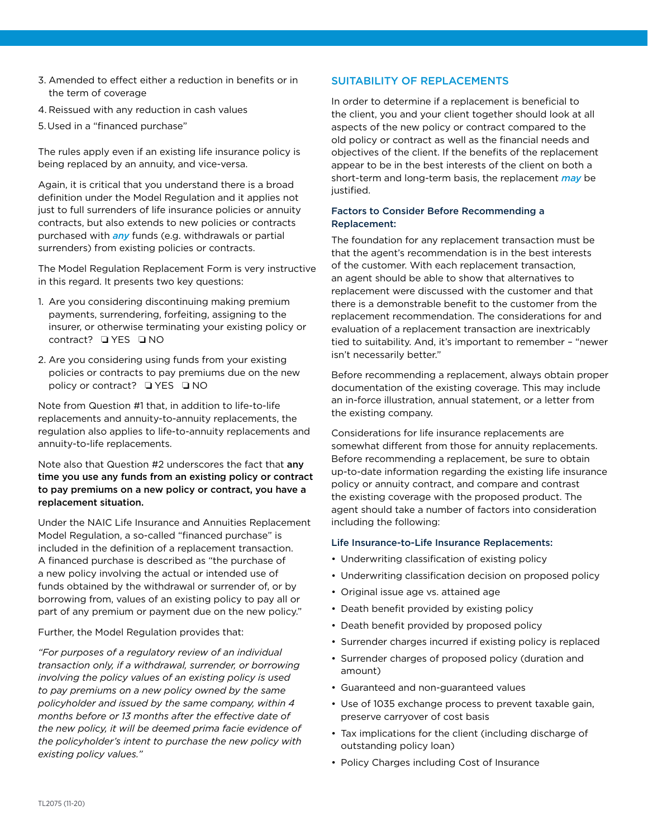- 3. Amended to effect either a reduction in benefits or in the term of coverage
- 4. Reissued with any reduction in cash values
- 5.Used in a "financed purchase"

The rules apply even if an existing life insurance policy is being replaced by an annuity, and vice-versa.

Again, it is critical that you understand there is a broad definition under the Model Regulation and it applies not just to full surrenders of life insurance policies or annuity contracts, but also extends to new policies or contracts purchased with *any* funds (e.g. withdrawals or partial surrenders) from existing policies or contracts.

The Model Regulation Replacement Form is very instructive in this regard. It presents two key questions:

- 1. Are you considering discontinuing making premium payments, surrendering, forfeiting, assigning to the insurer, or otherwise terminating your existing policy or contract? **QYES QNO**
- 2. Are you considering using funds from your existing policies or contracts to pay premiums due on the new policy or contract?  $\Box$  YES  $\Box$  NO

Note from Question #1 that, in addition to life-to-life replacements and annuity-to-annuity replacements, the regulation also applies to life-to-annuity replacements and annuity-to-life replacements.

Note also that Question #2 underscores the fact that any time you use any funds from an existing policy or contract to pay premiums on a new policy or contract, you have a replacement situation.

Under the NAIC Life Insurance and Annuities Replacement Model Regulation, a so-called "financed purchase" is included in the definition of a replacement transaction. A financed purchase is described as "the purchase of a new policy involving the actual or intended use of funds obtained by the withdrawal or surrender of, or by borrowing from, values of an existing policy to pay all or part of any premium or payment due on the new policy."

## Further, the Model Regulation provides that:

*"For purposes of a regulatory review of an individual transaction only, if a withdrawal, surrender, or borrowing involving the policy values of an existing policy is used to pay premiums on a new policy owned by the same policyholder and issued by the same company, within 4 months before or 13 months after the effective date of the new policy, it will be deemed prima facie evidence of the policyholder's intent to purchase the new policy with existing policy values."*

# SUITABILITY OF REPLACEMENTS

In order to determine if a replacement is beneficial to the client, you and your client together should look at all aspects of the new policy or contract compared to the old policy or contract as well as the financial needs and objectives of the client. If the benefits of the replacement appear to be in the best interests of the client on both a short-term and long-term basis, the replacement *may* be justified.

#### Factors to Consider Before Recommending a Replacement:

The foundation for any replacement transaction must be that the agent's recommendation is in the best interests of the customer. With each replacement transaction, an agent should be able to show that alternatives to replacement were discussed with the customer and that there is a demonstrable benefit to the customer from the replacement recommendation. The considerations for and evaluation of a replacement transaction are inextricably tied to suitability. And, it's important to remember – "newer isn't necessarily better."

Before recommending a replacement, always obtain proper documentation of the existing coverage. This may include an in-force illustration, annual statement, or a letter from the existing company.

Considerations for life insurance replacements are somewhat different from those for annuity replacements. Before recommending a replacement, be sure to obtain up-to-date information regarding the existing life insurance policy or annuity contract, and compare and contrast the existing coverage with the proposed product. The agent should take a number of factors into consideration including the following:

#### Life Insurance-to-Life Insurance Replacements:

- Underwriting classification of existing policy
- Underwriting classification decision on proposed policy
- Original issue age vs. attained age
- Death benefit provided by existing policy
- Death benefit provided by proposed policy
- Surrender charges incurred if existing policy is replaced
- Surrender charges of proposed policy (duration and amount)
- Guaranteed and non-guaranteed values
- Use of 1035 exchange process to prevent taxable gain, preserve carryover of cost basis
- Tax implications for the client (including discharge of outstanding policy loan)
- Policy Charges including Cost of Insurance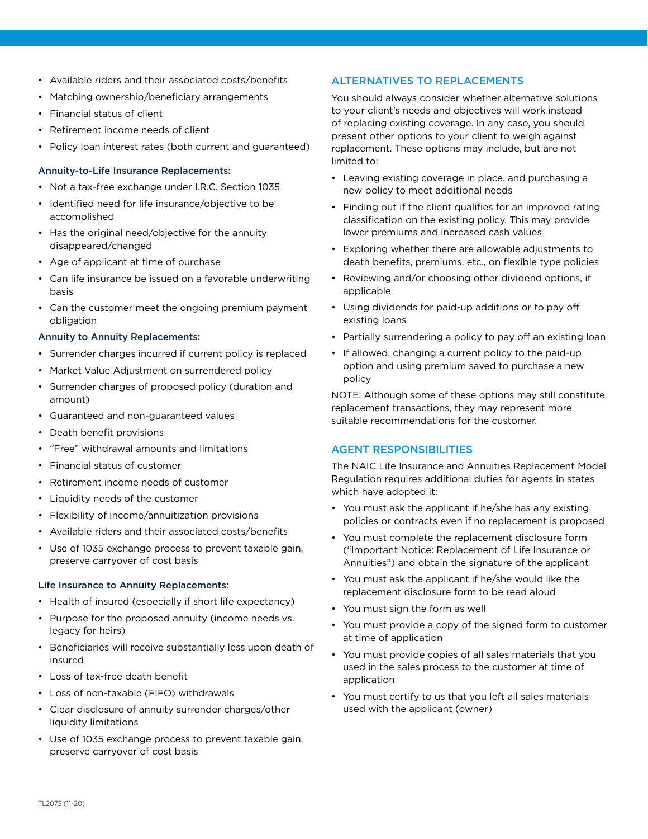- Available riders and their associated costs/benefits
- Matching ownership/beneficiary arrangements
- Financial status of client
- Retirement income needs of client
- Policy loan interest rates (both current and guaranteed)

#### Annuity-to-Life Insurance Replacements:

- Not a tax-free exchange under I.R.C. Section 1035
- Identified need for life insurance/objective to be accomplished
- Has the original need/objective for the annuity disappeared/changed
- Age of applicant at time of purchase
- Can life insurance be issued on a favorable underwriting basis
- Can the customer meet the ongoing premium payment obligation

#### Annuity to Annuity Replacements:

- Surrender charges incurred if current policy is replaced
- Market Value Adjustment on surrendered policy
- Surrender charges of proposed policy (duration and amount)
- Guaranteed and non-guaranteed values
- Death benefit provisions
- "Free" withdrawal amounts and limitations
- Financial status of customer
- Retirement income needs of customer
- Liquidity needs of the customer
- Flexibility of income/annuitization provisions
- Available riders and their associated costs/benefits
- Use of 1035 exchange process to prevent taxable gain, preserve carryover of cost basis

#### Life Insurance to Annuity Replacements:

- Health of insured (especially if short life expectancy)
- Purpose for the proposed annuity (income needs vs. legacy for heirs)
- Beneficiaries will receive substantially less upon death of insured
- Loss of tax-free death benefit
- Loss of non-taxable (FIFO) withdrawals
- Clear disclosure of annuity surrender charges/other liquidity limitations
- Use of 1035 exchange process to prevent taxable gain, preserve carryover of cost basis

# ALTERNATIVES TO REPLACEMENTS

You should always consider whether alternative solutions to your client's needs and objectives will work instead of replacing existing coverage. In any case, you should present other options to your client to weigh against replacement. These options may include, but are not limited to:

- Leaving existing coverage in place, and purchasing a new policy to meet additional needs
- Finding out if the client qualifies for an improved rating classification on the existing policy. This may provide lower premiums and increased cash values
- Exploring whether there are allowable adjustments to death benefits, premiums, etc., on flexible type policies
- Reviewing and/or choosing other dividend options, if applicable
- Using dividends for paid-up additions or to pay off existing loans
- Partially surrendering a policy to pay off an existing loan
- If allowed, changing a current policy to the paid-up option and using premium saved to purchase a new policy

NOTE: Although some of these options may still constitute replacement transactions, they may represent more suitable recommendations for the customer.

## AGENT RESPONSIBILITIES

The NAIC Life Insurance and Annuities Replacement Model Regulation requires additional duties for agents in states which have adopted it:

- You must ask the applicant if he/she has any existing policies or contracts even if no replacement is proposed
- You must complete the replacement disclosure form ("Important Notice: Replacement of Life Insurance or Annuities") and obtain the signature of the applicant
- You must ask the applicant if he/she would like the replacement disclosure form to be read aloud
- You must sign the form as well
- You must provide a copy of the signed form to customer at time of application
- You must provide copies of all sales materials that you used in the sales process to the customer at time of application
- You must certify to us that you left all sales materials used with the applicant (owner)